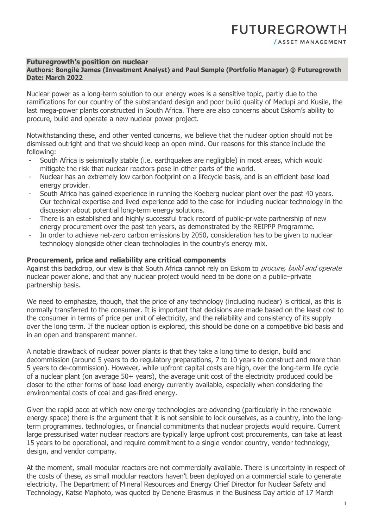## **Futuregrowth's position on nuclear**

## **Authors: Bongile James (Investment Analyst) and Paul Semple (Portfolio Manager) @ Futuregrowth Date: March 2022**

Nuclear power as a long-term solution to our energy woes is a sensitive topic, partly due to the ramifications for our country of the substandard design and poor build quality of Medupi and Kusile, the last mega-power plants constructed in South Africa. There are also concerns about Eskom's ability to procure, build and operate a new nuclear power project.

Notwithstanding these, and other vented concerns, we believe that the nuclear option should not be dismissed outright and that we should keep an open mind. Our reasons for this stance include the following:

- South Africa is seismically stable (i.e. earthquakes are negligible) in most areas, which would mitigate the risk that nuclear reactors pose in other parts of the world.
- Nuclear has an extremely low carbon footprint on a lifecycle basis, and is an efficient base load energy provider.
- South Africa has gained experience in running the Koeberg nuclear plant over the past 40 years. Our technical expertise and lived experience add to the case for including nuclear technology in the discussion about potential long-term energy solutions.
- There is an established and highly successful track record of public-private partnership of new energy procurement over the past ten years, as demonstrated by the REIPPP Programme.
- In order to achieve net-zero carbon emissions by 2050, consideration has to be given to nuclear technology alongside other clean technologies in the country's energy mix.

## **Procurement, price and reliability are critical components**

Against this backdrop, our view is that South Africa cannot rely on Eskom to *procure, build and operate* nuclear power alone, and that any nuclear project would need to be done on a public–private partnership basis.

We need to emphasize, though, that the price of any technology (including nuclear) is critical, as this is normally transferred to the consumer. It is important that decisions are made based on the least cost to the consumer in terms of price per unit of electricity, and the reliability and consistency of its supply over the long term. If the nuclear option is explored, this should be done on a competitive bid basis and in an open and transparent manner.

A notable drawback of nuclear power plants is that they take a long time to design, build and decommission (around 5 years to do regulatory preparations, 7 to 10 years to construct and more than 5 years to de-commission). However, while upfront capital costs are high, over the long-term life cycle of a nuclear plant (on average 50+ years), the average unit cost of the electricity produced could be closer to the other forms of base load energy currently available, especially when considering the environmental costs of coal and gas-fired energy.

Given the rapid pace at which new energy technologies are advancing (particularly in the renewable energy space) there is the argument that it is not sensible to lock ourselves, as a country, into the longterm programmes, technologies, or financial commitments that nuclear projects would require. Current large pressurised water nuclear reactors are typically large upfront cost procurements, can take at least 15 years to be operational, and require commitment to a single vendor country, vendor technology, design, and vendor company.

At the moment, small modular reactors are not commercially available. There is uncertainty in respect of the costs of these, as small modular reactors haven't been deployed on a commercial scale to generate electricity. The Department of Mineral Resources and Energy Chief Director for Nuclear Safety and Technology, Katse Maphoto, was quoted by Denene Erasmus in the Business Day article of 17 March